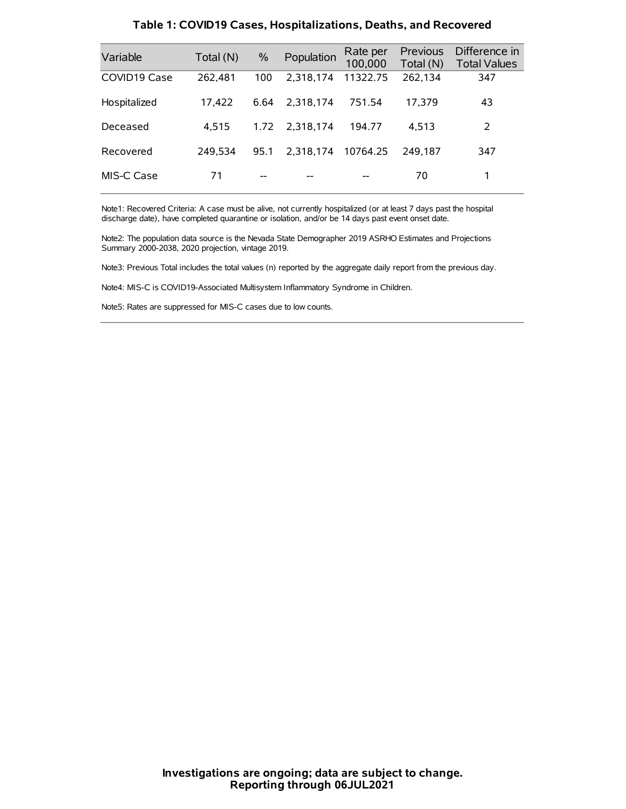| Variable     | Total (N) | $\%$ | Population | Rate per<br>100,000 | Previous<br>Total (N) | Difference in<br><b>Total Values</b> |
|--------------|-----------|------|------------|---------------------|-----------------------|--------------------------------------|
| COVID19 Case | 262.481   | 100  | 2.318.174  | 11322.75            | 262,134               | 347                                  |
| Hospitalized | 17.422    | 6.64 | 2.318.174  | 751.54              | 17.379                | 43                                   |
| Deceased     | 4.515     | 1.72 | 2.318.174  | 194.77              | 4.513                 | 2                                    |
| Recovered    | 249.534   | 95.1 | 2,318,174  | 10764.25            | 249.187               | 347                                  |
| MIS-C Case   | 71        | --   |            |                     | 70                    |                                      |

#### **Table 1: COVID19 Cases, Hospitalizations, Deaths, and Recovered**

Note1: Recovered Criteria: A case must be alive, not currently hospitalized (or at least 7 days past the hospital discharge date), have completed quarantine or isolation, and/or be 14 days past event onset date.

Note2: The population data source is the Nevada State Demographer 2019 ASRHO Estimates and Projections Summary 2000-2038, 2020 projection, vintage 2019.

Note3: Previous Total includes the total values (n) reported by the aggregate daily report from the previous day.

Note4: MIS-C is COVID19-Associated Multisystem Inflammatory Syndrome in Children.

Note5: Rates are suppressed for MIS-C cases due to low counts.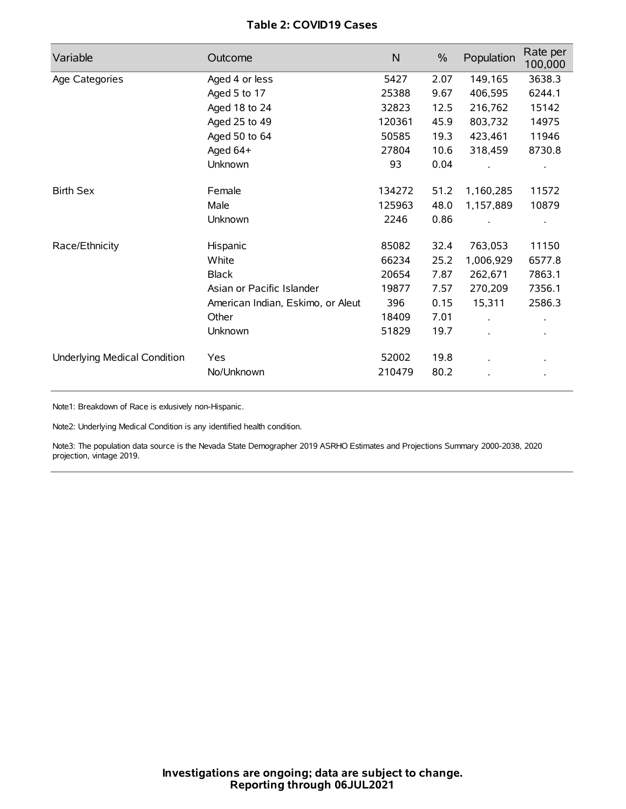## **Table 2: COVID19 Cases**

| Variable                     | Outcome                           | $\mathsf{N}$ | $\%$ | Population | Rate per<br>100,000 |
|------------------------------|-----------------------------------|--------------|------|------------|---------------------|
| Age Categories               | Aged 4 or less                    | 5427         | 2.07 | 149,165    | 3638.3              |
|                              | Aged 5 to 17                      | 25388        | 9.67 | 406,595    | 6244.1              |
|                              | Aged 18 to 24                     | 32823        | 12.5 | 216,762    | 15142               |
|                              | Aged 25 to 49                     | 120361       | 45.9 | 803,732    | 14975               |
|                              | Aged 50 to 64                     | 50585        | 19.3 | 423,461    | 11946               |
|                              | Aged 64+                          | 27804        | 10.6 | 318,459    | 8730.8              |
|                              | Unknown                           | 93           | 0.04 |            |                     |
| <b>Birth Sex</b>             | Female                            | 134272       | 51.2 | 1,160,285  | 11572               |
|                              | Male                              | 125963       | 48.0 | 1,157,889  | 10879               |
|                              | Unknown                           | 2246         | 0.86 |            |                     |
| Race/Ethnicity               | Hispanic                          | 85082        | 32.4 | 763,053    | 11150               |
|                              | White                             | 66234        | 25.2 | 1,006,929  | 6577.8              |
|                              | <b>Black</b>                      | 20654        | 7.87 | 262,671    | 7863.1              |
|                              | Asian or Pacific Islander         | 19877        | 7.57 | 270,209    | 7356.1              |
|                              | American Indian, Eskimo, or Aleut | 396          | 0.15 | 15,311     | 2586.3              |
|                              | Other                             | 18409        | 7.01 |            |                     |
|                              | Unknown                           | 51829        | 19.7 |            |                     |
| Underlying Medical Condition | Yes                               | 52002        | 19.8 |            |                     |
|                              | No/Unknown                        | 210479       | 80.2 |            |                     |

Note1: Breakdown of Race is exlusively non-Hispanic.

Note2: Underlying Medical Condition is any identified health condition.

Note3: The population data source is the Nevada State Demographer 2019 ASRHO Estimates and Projections Summary 2000-2038, 2020 projection, vintage 2019.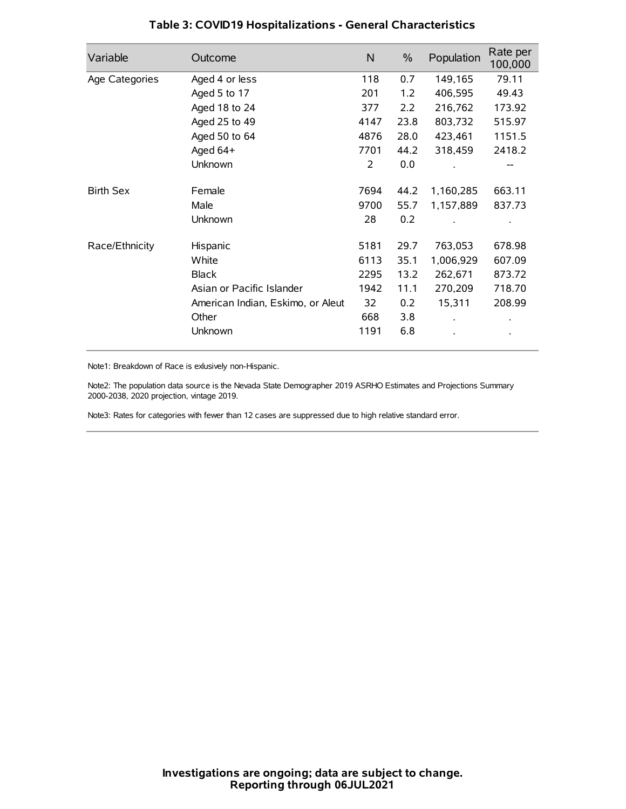| Variable         | Outcome                           | $\mathsf{N}$ | $\%$ | Population | Rate per<br>100,000 |
|------------------|-----------------------------------|--------------|------|------------|---------------------|
| Age Categories   | Aged 4 or less                    | 118          | 0.7  | 149,165    | 79.11               |
|                  | Aged 5 to 17                      | 201          | 1.2  | 406,595    | 49.43               |
|                  | Aged 18 to 24                     | 377          | 2.2  | 216,762    | 173.92              |
|                  | Aged 25 to 49                     | 4147         | 23.8 | 803,732    | 515.97              |
|                  | Aged 50 to 64                     | 4876         | 28.0 | 423,461    | 1151.5              |
|                  | Aged 64+                          | 7701         | 44.2 | 318,459    | 2418.2              |
|                  | Unknown                           | 2            | 0.0  |            | --                  |
| <b>Birth Sex</b> | Female                            | 7694         | 44.2 | 1,160,285  | 663.11              |
|                  | Male                              | 9700         | 55.7 | 1,157,889  | 837.73              |
|                  | Unknown                           | 28           | 0.2  |            |                     |
| Race/Ethnicity   | Hispanic                          | 5181         | 29.7 | 763,053    | 678.98              |
|                  | White                             | 6113         | 35.1 | 1,006,929  | 607.09              |
|                  | <b>Black</b>                      | 2295         | 13.2 | 262,671    | 873.72              |
|                  | Asian or Pacific Islander         | 1942         | 11.1 | 270,209    | 718.70              |
|                  | American Indian, Eskimo, or Aleut | 32           | 0.2  | 15,311     | 208.99              |
|                  | Other                             | 668          | 3.8  |            |                     |
|                  | Unknown                           | 1191         | 6.8  |            |                     |

## **Table 3: COVID19 Hospitalizations - General Characteristics**

Note1: Breakdown of Race is exlusively non-Hispanic.

Note2: The population data source is the Nevada State Demographer 2019 ASRHO Estimates and Projections Summary 2000-2038, 2020 projection, vintage 2019.

Note3: Rates for categories with fewer than 12 cases are suppressed due to high relative standard error.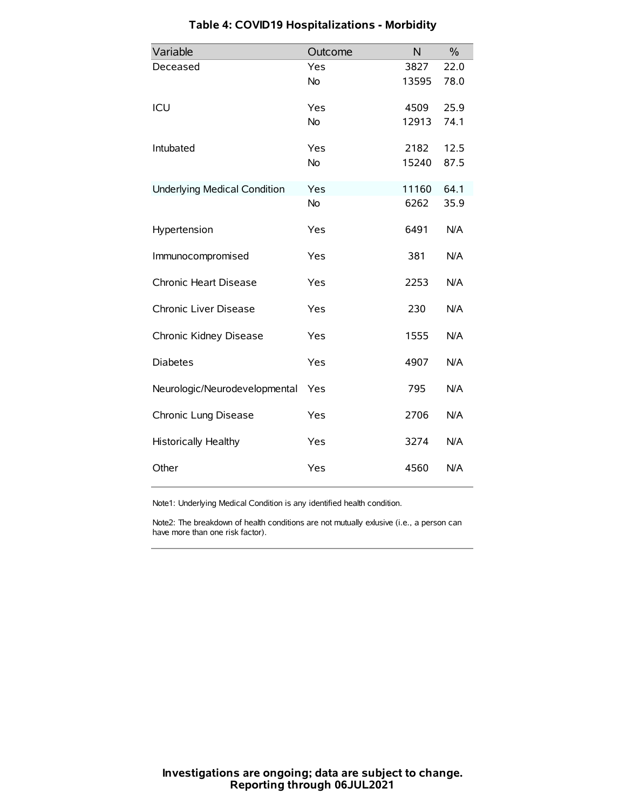| Variable                            | Outcome   | N     | $\%$ |
|-------------------------------------|-----------|-------|------|
| Deceased                            | Yes       | 3827  | 22.0 |
|                                     | No        | 13595 | 78.0 |
| ICU                                 | Yes       | 4509  | 25.9 |
|                                     | <b>No</b> | 12913 | 74.1 |
| Intubated                           | Yes       | 2182  | 12.5 |
|                                     | No        | 15240 | 87.5 |
| <b>Underlying Medical Condition</b> | Yes       | 11160 | 64.1 |
|                                     | No        | 6262  | 35.9 |
| Hypertension                        | Yes       | 6491  | N/A  |
| Immunocompromised                   | Yes       | 381   | N/A  |
| Chronic Heart Disease               | Yes       | 2253  | N/A  |
| Chronic Liver Disease               | Yes       | 230   | N/A  |
| Chronic Kidney Disease              | Yes       | 1555  | N/A  |
| <b>Diabetes</b>                     | Yes       | 4907  | N/A  |
| Neurologic/Neurodevelopmental       | Yes       | 795   | N/A  |
| Chronic Lung Disease                | Yes       | 2706  | N/A  |
| <b>Historically Healthy</b>         | Yes       | 3274  | N/A  |
| Other                               | Yes       | 4560  | N/A  |

# **Table 4: COVID19 Hospitalizations - Morbidity**

Note1: Underlying Medical Condition is any identified health condition.

Note2: The breakdown of health conditions are not mutually exlusive (i.e., a person can have more than one risk factor).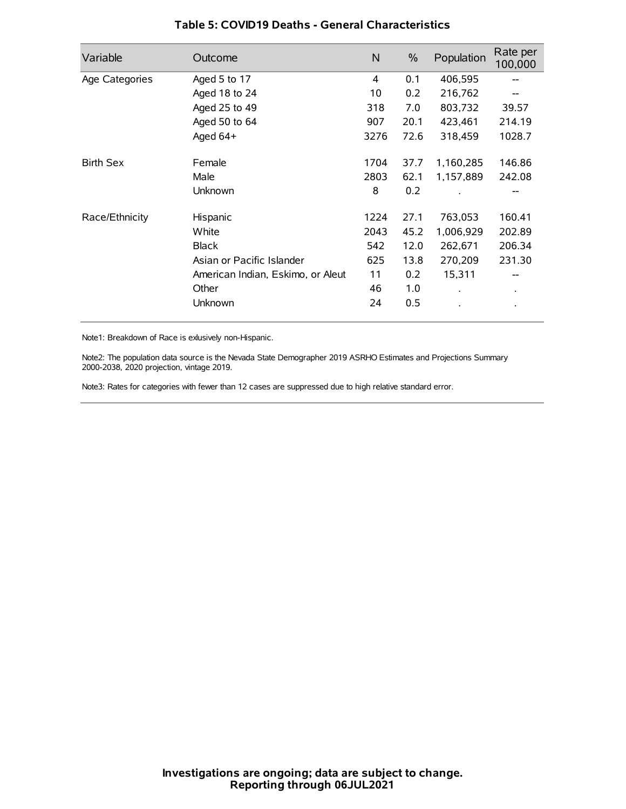| Variable         | Outcome                           | $\mathsf{N}$ | $\%$ | Population           | Rate per<br>100,000 |
|------------------|-----------------------------------|--------------|------|----------------------|---------------------|
| Age Categories   | Aged 5 to 17                      | 4            | 0.1  | 406,595              | --                  |
|                  | Aged 18 to 24                     | 10           | 0.2  | 216,762              |                     |
|                  | Aged 25 to 49                     | 318          | 7.0  | 803,732              | 39.57               |
|                  | Aged 50 to 64                     | 907          | 20.1 | 423,461              | 214.19              |
|                  | Aged 64+                          | 3276         | 72.6 | 318,459              | 1028.7              |
| <b>Birth Sex</b> | Female                            | 1704         | 37.7 | 1,160,285            | 146.86              |
|                  | Male                              | 2803         | 62.1 | 1,157,889            | 242.08              |
|                  | Unknown                           | 8            | 0.2  |                      |                     |
| Race/Ethnicity   | Hispanic                          | 1224         | 27.1 | 763,053              | 160.41              |
|                  | White                             | 2043         | 45.2 | 1,006,929            | 202.89              |
|                  | <b>Black</b>                      | 542          | 12.0 | 262,671              | 206.34              |
|                  | Asian or Pacific Islander         | 625          | 13.8 | 270,209              | 231.30              |
|                  | American Indian, Eskimo, or Aleut | 11           | 0.2  | 15,311               |                     |
|                  | Other                             | 46           | 1.0  | $\ddot{\phantom{0}}$ | $\bullet$           |
|                  | Unknown                           | 24           | 0.5  |                      |                     |

### **Table 5: COVID19 Deaths - General Characteristics**

Note1: Breakdown of Race is exlusively non-Hispanic.

Note2: The population data source is the Nevada State Demographer 2019 ASRHO Estimates and Projections Summary 2000-2038, 2020 projection, vintage 2019.

Note3: Rates for categories with fewer than 12 cases are suppressed due to high relative standard error.